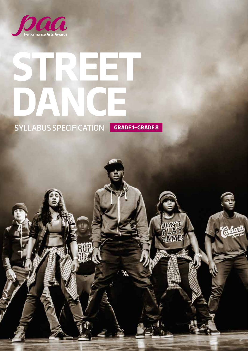

# **STREET DANCE CONSERVERED SECUREMENT ON CRADE1-GRADE8**

**SYLLABUS SPECIFICATION** 

**DON** 

**GAME!**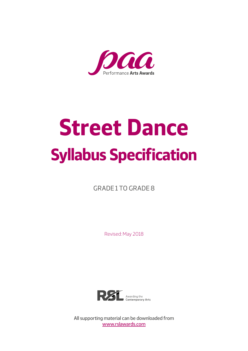

# **Street Dance Syllabus Specification**

GRADE 1 TO GRADE 8

Revised: May 2018



All supporting material can be downloaded from [www.rslawards.com](http://www.rslawards.com)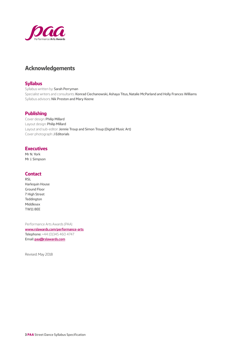<span id="page-2-0"></span>

#### **Acknowledgements**

#### **Syllabus**

Syllabus written by: Sarah Perryman Specialist writers and consultants: Konrad Ciechanowski, Ashaya Titus, Natalie McParland and Holly Frances Williams Syllabus advisors: Nik Preston and Mary Keene

#### **Publishing**

Cover design: Philip Millard Layout design: Philip Millard Layout and sub-editor: Jennie Troup and Simon Troup (Digital Music Art) Cover photograph: J Editorials

#### **Executives**

Mr N. York Mr J. Simpson

#### **Contact**

RSL Harlequin House Ground Floor 7 High Street Teddington Middlesex TW11 8EE

Performance Arts Awards (PAA) **[www.rslawards.com/performance-arts](http://www.rslawards.com/performance-arts)** Telephone: +44 (0)345 460 4747 Email: **[paa@rslawards.com](mailto:paa@rslawards.com)**

Revised: May 2018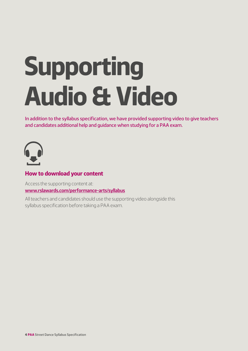# <span id="page-3-0"></span>**Supporting Audio & Video**

In addition to the syllabus specification, we have provided supporting video to give teachers and candidates additional help and guidance when studying for a PAA exam.



#### **How to download your content**

Access the supporting content at: **[www.rslawards.com/performance-arts/syllabus](http://www.rslawards.com/performance-arts/syllabus)**

All teachers and candidates should use the supporting video alongside this syllabus specification before taking a PAA exam.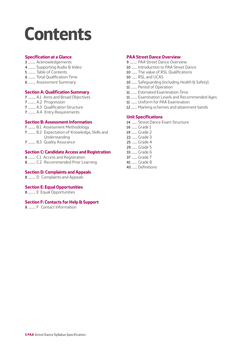# **Contents**

#### **Specification at a Glance**

- ........... Acknowledgements
- ........... Supporting Audio & Video
- ........... Table of Contents
- ........... Total Qualification Time
- ........... Assessment Summary

#### **Section A: Qualification Summary**

- ........... A.1 Aims and Broad Objectives
- ........... A.2 Progression
- ........... A.3 Qualification Structure
- ........... A.4 Entry Requirements

#### **Section B: Assessment Information**

- ........... B.1 Assessment Methodology
- ........... B.2 Expectation of Knowledge, Skills and Understanding
- ........... B.3 Quality Assurance

#### **Section C: Candidate Access and Registration**

- ........... C.1 Access and Registration
- ........... C.2 Recommended Prior Learning

#### **Section D: Complaints and Appeals**

........... D Complaints and Appeals

#### **Section E: Equal Opportunities**

........... E Equal Opportunities

#### **Section F: Contacts for Help & Support**

........... F Contact Information

#### **PAA Street Dance Overview**

- ........... PAA Street Dance Overview
- ........ Introduction to PAA Street Dance
- ........ The value of RSL Qualifications
- ........ RSL and UCAS
- ........ Safeguarding (including Health & Safety)
- ......... Period of Operation
- ......... Estimated Examination Time
- ......... Examination Levels and Recommended Ages
- ......... Uniform for PAA Examination
- ......... Marking schemes and attainment bands

#### **Unit Specifications**

- ........ Street Dance Exam Structure
- ........ Grade 1
- ........ Grade 2
- ........ Grade 3 ........ Grade 4
- ........ Grade 5
- ........ Grade 6
- ........ Grade 7
- ........ Grade 8
- ........ Definitions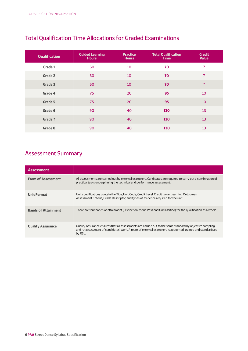| <b>Qualification</b> | <b>Guided Learning</b><br><b>Hours</b> | <b>Practice</b><br><b>Hours</b> | <b>Total Qualification</b><br><b>Time</b> | <b>Credit</b><br><b>Value</b> |
|----------------------|----------------------------------------|---------------------------------|-------------------------------------------|-------------------------------|
| Grade 1              | 60                                     | 10                              | 70                                        | 7                             |
| Grade 2              | 60                                     | 10                              | 70                                        | $\overline{7}$                |
| Grade 3              | 60                                     | 10                              | 70                                        | $\overline{7}$                |
| Grade 4              | 75                                     | 20                              | 95                                        | 10                            |
| Grade 5              | 75                                     | 20                              | 95                                        | 10                            |
| Grade 6              | 90                                     | 40                              | 130                                       | 13                            |
| <b>Grade 7</b>       | 90                                     | 40                              | 130                                       | 13                            |
| Grade 8              | 90                                     | 40                              | 130                                       | 13                            |

#### <span id="page-5-0"></span>Total Qualification Time Allocations for Graded Examinations

#### Assessment Summary

| <b>Assessment</b>          |                                                                                                                                                                                                                                    |
|----------------------------|------------------------------------------------------------------------------------------------------------------------------------------------------------------------------------------------------------------------------------|
| <b>Form of Assessment</b>  | All assessments are carried out by external examiners. Candidates are required to carry out a combination of<br>practical tasks underpinning the technical and performance assessment.                                             |
| <b>Unit Format</b>         | Unit specifications contain the Title, Unit Code, Credit Level, Credit Value, Learning Outcomes,<br>Assessment Criteria, Grade Descriptor, and types of evidence required for the unit.                                            |
| <b>Bands of Attainment</b> | There are four bands of attainment (Distinction, Merit, Pass and Unclassified) for the qualification as a whole.                                                                                                                   |
| <b>Quality Assurance</b>   | Quality Assurance ensures that all assessments are carried out to the same standard by objective sampling<br>and re-assessment of candidates' work. A team of external examiners is appointed, trained and standardised<br>by RSL. |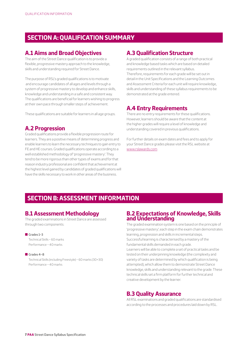#### <span id="page-6-0"></span> **SECTION A: QUALIFICATION SUMMARY**

#### **A.1 Aims and Broad Objectives**

The aim of the Street Dance qualification is to provide a flexible, progressive mastery approach to the knowledge, skills and understanding required for Street Dance.

The purpose of RSL's graded qualifications is to motivate and encourage candidates of all ages and levels through a system of progressive mastery to develop and enhance skills, knowledge and understanding in a safe and consistent way. The qualifications are beneficial for learners wishing to progress at their own pace through smaller steps of achievement.

These qualifications are suitable for learners in all age groups.

#### **A.2 Progression**

Graded qualifications provide a flexible progression route for learners. They are a positive means of determining progress and enable learners to learn the necessary techniques to gain entry to FE and HE courses. Graded qualifications operate according to a well established methodology of 'progressive mastery'. They tend to be more rigorous than other types of exams and for that reason industry professional are confident that achievement at the highest level gained by candidates of graded qualifications will have the skills necessary to work in other areas of the business.

#### **A.3 Qualification Structure**

A graded qualification consists of a range of both practical and knowledge based tasks which are based on detailed requirements outlined in the relevant syllabus. Therefore, requirements for each grade will be set out in detail in the Unit Specifications and the Learning Outcomes and Assessment Criteria for each unit will require knowledge, skills and understanding of these syllabus requirements to be demonstrated at the grade entered.

#### **A.4 Entry Requirements**

There are no entry requirements for these qualifications. However, learners should be aware that the content at the higher grades will require a level of knowledge and understanding covered in previous qualifications.

For further details on exam dates and fees and to apply for your Street Dance grades please visit the RSL website at [www.rslawards.com](http://www.rslawards.com)

#### **SECTION B: ASSESSMENT INFORMATION**

#### **B.1 Assessment Methodology**

The graded examinations in Street Dance are assessed through two components:

#### $G$ rades 1–3

Technical Skills – 60 marks Performance – 40 marks

#### $C$ rades  $A - R$

Technical Skills (including Freestyle) – 60 marks (30+30) Performance – 40 marks

#### **B.2 Expectations of Knowledge, Skills and Understanding**

The graded examination system is one based on the principle of 'progressive mastery'; each step in the exam chain demonstrates learning, progression and skills in incremental steps. Successful learning is characterised by a mastery of the fundamental skills demanded in each grade. Learners will be able to complete a set of practical tasks and be

tested on their underpinning knowledge (the complexity and variety of tasks are determined by which qualification is being attempted), which allow them to demonstrate Street Dance knowledge, skills and understanding relevant to the grade. These technical skills set a firm platform for further technical and creative development by the learner.

#### **B.3 Quality Assurance**

All RSL examinations and graded qualifications are standardised according to the processes and procedures laid down by RSL.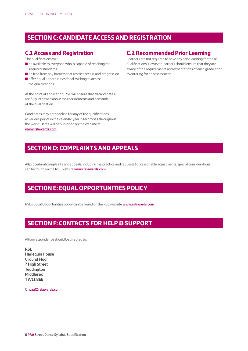#### <span id="page-7-0"></span> **SECTION C: CANDIDATE ACCESS AND REGISTRATION**

#### **C.1 Access and Registration**

The qualifications will:

- $\blacksquare$  be available to everyone who is capable of reaching the required standards
- $\blacksquare$  be free from any barriers that restrict access and progression
- $\blacksquare$  offer equal opportunities for all wishing to access the qualifications

At the point of application, RSL will ensure that all candidates are fully informed about the requirements and demands of the qualification.

Candidates may enter online for any of the qualifications at various points in the calendar year in territories throughout the world. Dates will be published on the website at **[www.rslawards.com](http://www.rslawards.com)**

#### **C.2 Recommended Prior Learning**

Learners are not required to have any prior learning for these qualifications. However, learners should ensure that they are aware of the requirements and expectations of each grade prior to entering for an assessment.

#### **SECTION D: COMPLAINTS AND APPEALS**

All procedural complaints and appeals, including malpractice and requests for reasonable adjustments/special considerations, can be found on the RSL website **[www.rslawards.com](http://www.rslawards.com)**

#### **SECTION E: EQUAL OPPORTUNITIES POLICY**

RSL's Equal Opportunities policy can be found on the RSL website **[www.rslawards.com](http://www.rslawards.com)**

#### **SECTION F: CONTACTS FOR HELP & SUPPORT**

All correspondence should be directed to:

**RSL Harlequin House Ground Floor 7 High Street Teddington Middlesex TW11 8EE**

Or **[paa@rslawards.com](mailto:paa@rslawards.com)**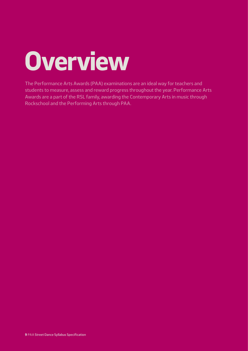# <span id="page-8-0"></span>**Overview**

The Performance Arts Awards (PAA) examinations are an ideal way for teachers and students to measure, assess and reward progress throughout the year. Performance Arts Awards are a part of the RSL family, awarding the Contemporary Arts in music through Rockschool and the Performing Arts through PAA.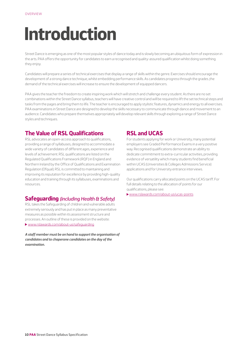## <span id="page-9-0"></span>**Introduction**

Street Dance is emerging as one of the most popular styles of dance today and is slowly becoming an ubiquitous form of expression in the arts. PAA offers the opportunity for candidates to earn a recognised and quality-assured qualification whilst doing something they enjoy.

Candidates will prepare a series of technical exercises that display a range of skills within the genre. Exercises should encourage the development of a strong dance technique, whilst embedding performance skills. As candidates progress through the grades ,the demand of the technical exercises will increase to ensure the development of equipped dancers.

PAA gives the teacher the freedom to create inspiring work which will stretch and challenge every student. As there are no set combinations within the Street Dance syllabus, teachers will have creative control and will be required to lift the set technical steps and tasks from the pages and bring them to life. The teacher is encouraged to apply stylistic features, dynamics and energy to all exercises. PAA examinations in Street Dance are designed to develop the skills necessary to communicate through dance and movement to an audience. Candidates who prepare themselves appropriately will develop relevant skills through exploring a range of Street Dance styles and techniques.

#### **The Value of RSL Qualifications**

RSL advocates an open-access approach to qualifications, providing a range of syllabuses, designed to accommodate a wide variety of candidates of different ages, experience and levels of achievement. RSL qualifications are listed on the Regulated Qualifications Framework (RQF) in England and Northern Ireland by the Office of Qualifications and Examination Regulation (Ofqual). RSL is committed to maintaining and improving its reputation for excellence by providing high-quality education and training through its syllabuses, examinations and resources.

#### **Safeguarding** *(including Health & Safety)*

RSL takes the Safeguarding of children and vulnerable adults extremely seriously and has put in place as many preventative measures as possible within its assessment structure and processes. An outline of these is provided on the website: [www.rslawards.com/about-us/safeguarding](http://www.rslawards.com/about-us/safeguarding)

*A staff member must be on hand to support the organisation of candidates and to chaperone candidates on the day of the examination.*

#### **RSL and UCAS**

For students applying for work or University, many potential employers see Graded Performance Exams in a very positive way. Recognised qualifications demonstrate an ability to dedicate commitment to extra-curricular activities, providing evidence of versatility which many students find beneficial within UCAS (Universities & Colleges Admissions Service) applications and for University entrance interviews.

Our qualifications carry allocated points on the UCAS tariff. For full details relating to the allocation of points for our qualifications, please see:

[www.rslawards.com/about-us/ucas-points](http://www.rslawards.com/about-us/ucas-points)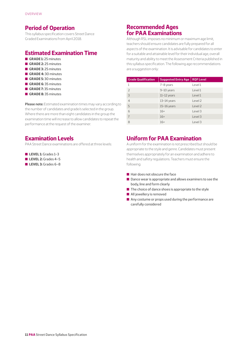#### <span id="page-10-0"></span>**Period of Operation**

This syllabus specification covers Street Dance Graded Examinations from April 2018.

#### **Estimated Examination Time**

- **GRADE 1:** 25 minutes
- **GRADE 2:** 25 minutes
- **GRADE 3:** 25 minutes
- **GRADE 4:30 minutes** n **GRADE 5:** 30 minutes
- **GRADE 6:** 35 minutes
- **GRADE 7:** 35 minutes
- **GRADE 8:** 35 minutes
- **Please note:** Estimated examination times may vary according to the number of candidates and grade/s selected in the group. Where there are more than eight candidates in the group the examination time will increase to allow candidates to repeat the performance at the request of the examiner.

#### **Examination Levels**

PAA Street Dance examinations are offered at three levels:

- **LEVEL 1:** Grades 1-3
- n **LEVEL 2:** Grades 4–5
- n **LEVEL 3:** Grades 6–8

#### **Recommended Ages for PAA Examinations**

Although RSL imposes no minimum or maximum age limit, teachers should ensure candidates are fully prepared for all aspects of the examination. It is advisable for candidates to enter for a suitable and attainable level for their individual age, overall maturity and ability to meet the Assessment Criteria published in this syllabus specification. The following age recommendations are a suggestion only:

| <b>Grade Qualification</b> | <b>Suggested Entry Age</b> | <b>RQF Level</b> |
|----------------------------|----------------------------|------------------|
| 1                          | 7-8 years                  | Level 1          |
| $\overline{\phantom{0}}$   | 9-10 years                 | Level 1          |
| 3                          | $11-12$ years              | Level 1          |
| $\overline{4}$             | $13-14$ years              | Level 2          |
| 5                          | $15-16$ years              | Level 2          |
| 6                          | $16+$                      | Level 3          |
| $\overline{7}$             | $16+$                      | Level 3          |
| 8                          | $16+$                      | Level 3          |

#### **Uniform for PAA Examination**

A uniform for the examination is not prescribed but should be appropriate to the style and genre. Candidates must present themselves appropriately for an examination and adhere to health and safety regulations. Teachers must ensure the following:

- $\blacksquare$  Hair does not obscure the face
- $\blacksquare$  Dance wear is appropriate and allows examiners to see the body, line and form clearly
- $\blacksquare$  The choice of dance shoes is appropriate to the style
- $\blacksquare$  All jewellery is removed
- $\blacksquare$  Any costume or props used during the performance are carefully considered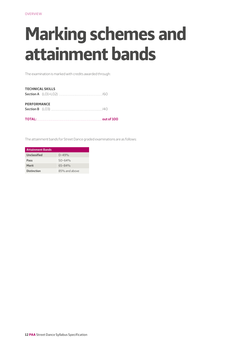# <span id="page-11-0"></span>**Marking schemes and attainment bands**

The examination is marked with credits awarded through:

| <b>TECHNICAL SKILLS</b> |                          |  |
|-------------------------|--------------------------|--|
| <b>PERFORMANCE</b>      |                          |  |
|                         | <b>TOTAL:</b> out of 100 |  |

The attainment bands for Street Dance graded examinations are as follows:

| <b>Attainment Bands</b> |               |  |
|-------------------------|---------------|--|
| Unclassified            | $0 - 49%$     |  |
| Pass                    | $50 - 64%$    |  |
| Merit                   | $65 - 84%$    |  |
| <b>Distinction</b>      | 85% and above |  |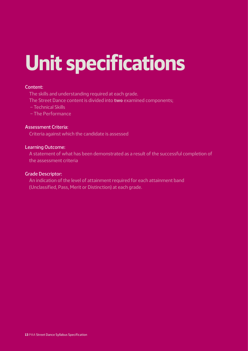# **Unit specifications**

#### Content:

The skills and understanding required at each grade.

The Street Dance content is divided into **two** examined components;

- Technical Skills
- The Performance

#### Assessment Criteria:

Criteria against which the candidate is assessed

#### Learning Outcome:

 A statement of what has been demonstrated as a result of the successful completion of the assessment criteria

#### Grade Descriptor:

 An indication of the level of attainment required for each attainment band (Unclassified, Pass, Merit or Distinction) at each grade.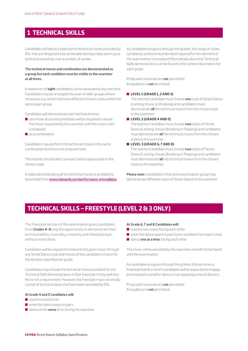#### <span id="page-13-0"></span> **1 TECHNICAL SKILLS**

Candidates will dance a selection of technical moves provided by RSL that are designed to be achievable during a class warm up or technical workshop over a number of weeks.

#### **The technical moves and combination are demonstrated as a group but each candidate must be visible to the examiner at all times.**

A maximum of **eight** candidates can be assessed at any one time. Candidates may be arranged into even smaller groups where necessary, e.g. where there are different chosen styles within the same exam group.

Candidates will demonstrate each technical move:

- $\Box$  one move at a time (candidates will be required to repeat the move requested by the examiner until the music track is stopped)
- $\blacksquare$  as a combination

Candidates may perform the technical moves in the same combination but this is not a requirement.

The teacher should select a music track/s appropriate to the chosen style.

A video demonstrating all the technical moves is available to download from: [www.rslawards.com/performance-arts/syllabus](http://www.rslawards.com/performance-arts/syllabus) As candidates progress through the grades, the range of styles, complexity and technical demand required for this element of the examination is increased. More details about the Technical Skills demonstration can be found in the content description for each grade.

Props and costumes are **not** permitted. An audience is **not** permitted.

#### n **LEVEL 1 (GRADE 1, 2 AND 3)**

 The teacher/candidate must choose **one** style of Street Dance (Locking, House or Breaking) and candidates must demonstrate **all** the technical moves from the chosen style to the examiner.

n **LEVEL 2 (GRADE 4 AND 5)**

 The teacher/candidate must choose **two** styles of Street Dance (Locking, House, Breaking or Popping) and candidates must demonstrate **all** the technical moves from the chosen styles to the examiner.

#### n **LEVEL 3 (GRADE 6, 7 AND 8)**

 The teacher/candidate must choose **two** styles of Street Dance (Locking, House, Breaking or Popping) and candidates must demonstrate **all** the technical moves from the chosen styles to the examiner.

**Please note:** Candidates in the same examination group may demonstrate different styles of Street Dance to the examiner.

#### **TECHNICAL SKILLS – FREESTYLE (LEVEL 2 & 3 ONLY)**

The Freestyle section of the examination gives candidates from **Grades 4–8** only the opportunity to demonstrate their technical ability, musicality, creativity and individual style without restrictions.

Candidates will be required to interpret the given music through any Street Dance style and moves of the candidate's choice for the duration specified per grade.

Candidates may include the technical moves provided for the Technical Skills Demonstration in their freestyle if they wish but this is not a requirement. However, the freestyle must not wholly consist of technical steps that have been provided by RSL.

#### **At Grade 4 and 5 Candidates will:**

- $\blacksquare$  stand in a semicircle
- $\blacksquare$  enter the dance space in pairs
- n dance at the **same** time, facing the examiner

#### **At Grade 6, 7 and 8 Candidates will:**

- $\blacksquare$  stand in two crews facing each other
- $\blacksquare$  enter the dance space in pairs (one candidate from each crew)
- **n** dance **one at a time**, facing each other

The music will be provided by the examiner and will not be heard until the examination.

As candidates progress through the grades, this becomes a Freestyle battle in which candidates will be expected to engage and respond to another dancer in an opposing crew of dancers.

Props and costumes are **not** permitted. An audience is **not** permitted.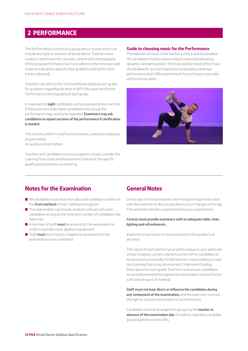#### **2 PERFORMANCE**

The Performance consists of a group dance routine which can include any style or variation of street dance. Teachers have creative control over the concept, content and choreography of the group performance but must adhere to the minimum and maximum durations specified per grade (including the music track/s selected).

Teachers can refer to the Technical Moves listed at each grade for guidance regarding the level of difficulty expected for the Performance choreography at each grade.

A maximum of **eight** candidates can be assessed at any one time. If there are more than eight candidates in the group the performance may need to be repeated. **Examiners may ask candidates to repeat sections of the performance if clarification is needed.**

The school's uniform is sufficient, however, costumes and props are permitted. An audience is permitted.

Teachers and candidates are encouraged to closely consider the Learning Outcomes and Assessment Criteria for the specific qualification level they are entering.

#### **Guide to choosing music for the Performance**

The selection of music is the teacher's choice and should allow the candidates the best opportunity to respond to phrasing, dynamics and atmosphere. The style and the mood of the music should allow for as much expression as possible, creating a performance that fulfils requirements for technique, musicality and communication.



#### **Notes for the Examination**

- $\blacksquare$  All candidates must wear their allocated candidate number on the **front and back** of their clothing throughout
- $\blacksquare$  The examination can include students who are not exam candidates as long as the minimum number of candidates has been met
- n A member of staff **must** be present for the examination in order to operate music playback equipment
- Staff **must** be on hand to chaperone students from the examination once completed.

#### **General Notes**

On the day of the examination, the Principal is required to meet with the examiner to discuss any absences or changes to the day. The examiner will take a register before every examination.

#### **Centres must provide examiners with an adequate table, chair, lighting and refreshments.**

Examiners must not be in close proximity to the audience at any time.

The nature of each performance will be unique to your particular school, however, certain criteria must be met for candidates to be assessed successfully. It is the teacher's responsibility to read the Learning Outcomes, Assessment Criteria and Grading Descriptors for each grade. Teachers must ensure candidates are actively involved throughout the examination and perform a sufficient amount of material.

**Staff must not lead, direct or influence the candidates during any component of the examination,** and the examiner reserves the right to stop the examination in such instances.

Candidates must be arranged into groups by the **teacher in advance of the examination day**. For advice regarding candidate grouping please contact RSL.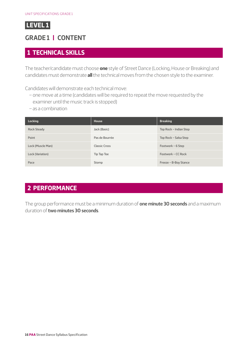## <span id="page-15-0"></span>**GRADE 1 | CONTENT**

#### **1 TECHNICAL SKILLS**

The teacher/candidate must choose **one** style of Street Dance (Locking, House or Breaking) and candidates must demonstrate **all** the technical moves from the chosen style to the examiner.

Candidates will demonstrate each technical move:

- one move at a time (candidates will be required to repeat the move requested by the examiner until the music track is stopped)
- as a combination

| Locking            | <b>House</b>         | <b>Breaking</b>        |
|--------------------|----------------------|------------------------|
| <b>Rock Steady</b> | Jack (Basic)         | Top Rock - Indian Step |
| Point              | Pas de Bourrée       | Top Rock - Salsa Step  |
| Lock (Muscle Man)  | <b>Classic Cross</b> | Footwork - 6 Step      |
| Lock (Variation)   | Tip Tap Toe          | Footwork - CC Rock     |
| Pace               | Stomp                | Freeze - B-Boy Stance  |

## **2 PERFORMANCE**

The group performance must be a minimum duration of **one minute 30 seconds** and a maximum duration of **two minutes 30 seconds**.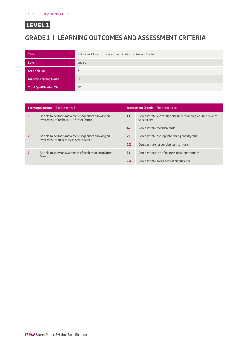## **GRADE 1 | LEARNING OUTCOMES AND ASSESSMENT CRITERIA**

| <b>Title</b>                    | RSL Level 1 Award in Graded Examination in Dance - Grade 1 |
|---------------------------------|------------------------------------------------------------|
| <b>Level</b>                    | Level 1                                                    |
| <b>Credit Value</b>             |                                                            |
| <b>Guided Learning Hours</b>    | 60                                                         |
| <b>Total Qualification Time</b> | 70                                                         |

| <b>Learning Outcome - The learner will:</b>                                                 |                                                                                            | <b>Assessment Criteria - The learner can:</b> |                                                                       |
|---------------------------------------------------------------------------------------------|--------------------------------------------------------------------------------------------|-----------------------------------------------|-----------------------------------------------------------------------|
|                                                                                             | Be able to perform movement sequences showing an<br>awareness of technique in Street Dance | 1.1                                           | Demonstrate knowledge and understanding of Street Dance<br>vocabulary |
|                                                                                             |                                                                                            | 1.2                                           | Demonstrate technical skills                                          |
| Be able to perform movement sequences showing an<br>awareness of musicality in Street Dance |                                                                                            | 2.1                                           | Demonstrate appropriate timing and rhythm                             |
|                                                                                             |                                                                                            | 2.2                                           | Demonstrate responsiveness to music                                   |
|                                                                                             | Be able to show an awareness of performance in Street<br>Dance                             | 3.1                                           | Demonstrate use of expression as appropriate                          |
|                                                                                             |                                                                                            | 3.2                                           | Demonstrate awareness of an audience                                  |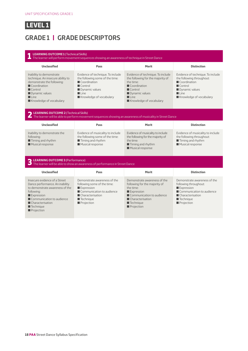## **GRADE 1 | GRADE DESCRIPTORS**

#### **1 LEARNING OUTCOME 1** (Technical Skills) The learner will perform movement sequences showing an awareness of technique in Street Dance **Unclassified Pass Merit Distinction** Inability to demonstrate technique. An insecure ability to demonstrate the following:  $\blacksquare$  Coordination  $\blacksquare$  Control  $\blacksquare$  Dynamic values  $\blacksquare$  Line  $\blacksquare$  Knowledge of vocabulary Evidence of technique. To include the following some of the time:  $\blacksquare$  Coordination  $\blacksquare$  Control  $\blacksquare$  Dynamic values  $\blacksquare$  Line Knowledge of vocabulary Evidence of technique. To include the following for the majority of the time:  $\blacksquare$  Coordination  $\blacksquare$  Control  $\blacksquare$  Dynamic values  $\blacksquare$  Line  $\blacksquare$  Knowledge of vocabulary Evidence of technique. To include the following throughout:  $\blacksquare$  Coordination  $\Box$  Control **Dynamic values**  $\blacksquare$  Line Knowledge of vocabulary **2 LEARNING OUTCOME 2** (Technical Skills) The learner will be able to perform movement sequences showing an awareness of musicality in Street Dance **Unclassified Pass Merit Distinction** Inability to demonstrate the following:  $\blacksquare$  Timing and rhythm  $\blacksquare$  Musical response Evidence of musicality to include the following some of the time:  $\blacksquare$  Timing and rhythm  $\blacksquare$  Musical response Evidence of musicality to include the following for the majority of the time:  $\blacksquare$  Timing and rhythm  $\blacksquare$  Musical response Evidence of musicality to include the following throughout:  $\blacksquare$  Timing and rhythm **Musical response 3 LEARNING OUTCOME 3** (Performance) The learner will be able to show an awareness of performance in Street Dance **Unclassified Pass Merit Distinction** Insecure evidence of a Street Dance performance. An inability to demonstrate awareness of the following:  $\blacksquare$  Expression  $\blacksquare$  Communication to audience ■ Characterisation  $\blacksquare$  Technique **Projection** Demonstrate awareness of the following some of the time: **Expression**  $\blacksquare$  Communication to audience ■ Characterisation  $\blacksquare$  Technique **Projection** Demonstrate awareness of the following for the majority of the time:  $\square$  Expression  $\blacksquare$  Communication to audience Characterisation  $\blacksquare$  Technique  $\blacksquare$  Projection Demonstrate awareness of the following throughout: **Expression**  $\blacksquare$  Communication to audience ■ Characterisation  $\blacksquare$  Technique **Projection**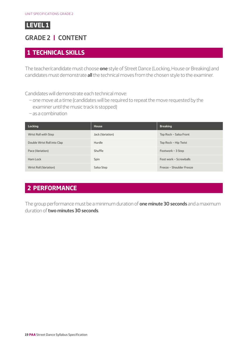## <span id="page-18-0"></span>**GRADE 2 | CONTENT**

#### **1 TECHNICAL SKILLS**

The teacher/candidate must choose **one** style of Street Dance (Locking, House or Breaking) and candidates must demonstrate **all** the technical moves from the chosen style to the examiner.

Candidates will demonstrate each technical move:

- one move at a time (candidates will be required to repeat the move requested by the examiner until the music track is stopped)
- as a combination

| <b>Locking</b>              | House            | <b>Breaking</b>          |
|-----------------------------|------------------|--------------------------|
| Wrist Roll with Step        | Jack (Variation) | Top Rock - Salsa Front   |
| Double Wrist Roll into Clap | Hurdle           | Top Rock - Hip Twist     |
| Pace (Variation)            | Shuffle          | Footwork - 3 Step        |
| Ham Lock                    | Spin             | Foot work - Screwballs   |
| Wrist Roll (Variation)      | Salsa Step       | Freeze - Shoulder Freeze |

## **2 PERFORMANCE**

The group performance must be a minimum duration of **one minute 30 seconds** and a maximum duration of **two minutes 30 seconds**.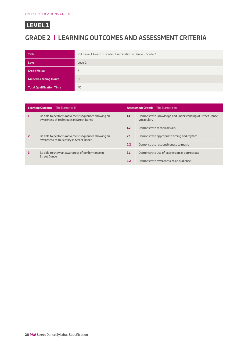## **GRADE 2 | LEARNING OUTCOMES AND ASSESSMENT CRITERIA**

| <b>Title</b>                    | RSL Level 1 Award in Graded Examination in Dance - Grade 2 |
|---------------------------------|------------------------------------------------------------|
| Level                           | Level 1                                                    |
| <b>Credit Value</b>             |                                                            |
| <b>Guided Learning Hours</b>    | 60                                                         |
| <b>Total Qualification Time</b> | 70                                                         |

| <b>Learning Outcome - The learner will:</b> |                                                                                             | <b>Assessment Criteria - The learner can:</b> |                                                                       |
|---------------------------------------------|---------------------------------------------------------------------------------------------|-----------------------------------------------|-----------------------------------------------------------------------|
|                                             | Be able to perform movement sequences showing an<br>awareness of techniques in Street Dance | 1.1                                           | Demonstrate knowledge and understanding of Street Dance<br>vocabulary |
|                                             |                                                                                             | 1.2                                           | Demonstrate technical skills                                          |
| awareness of musicality in Street Dance     | Be able to perform movement sequences showing an                                            | 2.1                                           | Demonstrate appropriate timing and rhythm                             |
|                                             |                                                                                             | 2.2                                           | Demonstrate responsiveness to music                                   |
|                                             | Be able to show an awareness of performance in<br><b>Street Dance</b>                       | 3.1                                           | Demonstrate use of expression as appropriate                          |
|                                             |                                                                                             | 3.2                                           | Demonstrate awareness of an audience                                  |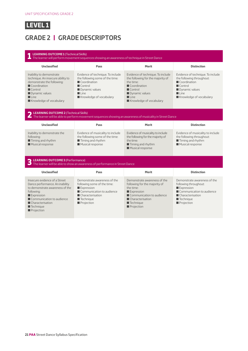## **GRADE 2 | GRADE DESCRIPTORS**

#### **1 LEARNING OUTCOME 1** (Technical Skills) The learner will perform movement sequences showing an awareness of technique in Street Dance **Unclassified Pass Merit Distinction** Inability to demonstrate technique. An insecure ability to demonstrate the following:  $\blacksquare$  Coordination  $\blacksquare$  Control **Dynamic values**  $\blacksquare$  Line  $\blacksquare$  Knowledge of vocabulary Evidence of technique. To include the following some of the time:  $\blacksquare$  Coordination  $\blacksquare$  Control **Dynamic values**  $\blacksquare$  Line Knowledge of vocabulary Evidence of technique. To include the following for the majority of the time:  $\blacksquare$  Coordination  $\blacksquare$  Control **Dynamic values**  $\blacksquare$  Line  $\blacksquare$  Knowledge of vocabulary Evidence of technique. To include the following throughout:  $\blacksquare$  Coordination  $\blacksquare$  Control **Dynamic values**  $\blacksquare$  Line Knowledge of vocabulary **2 LEARNING OUTCOME 2** (Technical Skills) The learner will be able to perform movement sequences showing an awareness of musicality in Street Dance **Unclassified Pass Merit Distinction** Inability to demonstrate the following:  $\blacksquare$  Timing and rhythm **Musical response** Evidence of musicality to include the following some of the time:  $\blacksquare$  Timing and rhythm  $\blacksquare$  Musical response Evidence of musicality to include the following for the majority of the time: ■ Timing and rhythm  $\blacksquare$  Musical response Evidence of musicality to include the following throughout:  $\blacksquare$  Timing and rhythm **Musical response 3 LEARNING OUTCOME 3** (Performance) The learner will be able to show an awareness of performance in Street Dance **Unclassified Pass Merit Distinction** Insecure evidence of a Street Dance performance. An inability to demonstrate awareness of the following:  $\blacksquare$  Expression  $\blacksquare$  Communication to audience ■ Characterisation  $\blacksquare$  Technique **Projection** Demonstrate awareness of the following some of the time:  $\square$  Expression  $\blacksquare$  Communication to audience ■ Characterisation  $\blacksquare$  Technique **Projection** Demonstrate awareness of the following for the majority of the time:  $\square$  Expression  $\blacksquare$  Communication to audience Characterisation  $\blacksquare$  Technique  $\blacksquare$  Projection Demonstrate awareness of the following throughout: **Expression**  $\blacksquare$  Communication to audience ■ Characterisation  $\blacksquare$  Technique **Projection**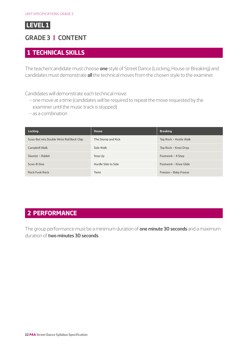## <span id="page-21-0"></span>**GRADE 3 | CONTENT**

#### **1 TECHNICAL SKILLS**

The teacher/candidate must choose **one** style of Street Dance (Locking, House or Breaking) and candidates must demonstrate **all** the technical moves from the chosen style to the examiner.

Candidates will demonstrate each technical move:

- one move at a time (candidates will be required to repeat the move requested by the examiner until the music track is stopped)
- as a combination

| Locking                                   | House               | <b>Breaking</b>        |
|-------------------------------------------|---------------------|------------------------|
| Scoo-Bot into Double Wrist Roll Back Clap | The Stomp and Kick  | Top Rock - Hustle Walk |
| Campbell Walk                             | Side Walk           | Top Rock - Knee Drop   |
| Skeeter - Rabbit                          | Step Up             | Footwork - 4 Step      |
| $SCOO - B - DOO$                          | Hurdle Side to Side | Footwork - Knee Glide  |
| <b>Rock Funk Rock</b>                     | Twist               | Freezes - Baby Freeze  |

#### **2 PERFORMANCE**

The group performance must be a minimum duration of **one minute 30 seconds** and a maximum duration of **two minutes 30 seconds**.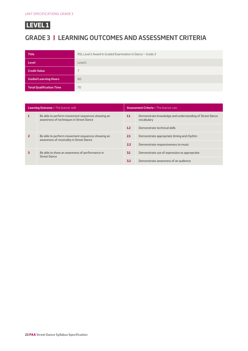## **GRADE 3 | LEARNING OUTCOMES AND ASSESSMENT CRITERIA**

| <b>Title</b>                    | RSL Level 1 Award in Graded Examination in Dance - Grade 3 |
|---------------------------------|------------------------------------------------------------|
| Level                           | Level 1                                                    |
| <b>Credit Value</b>             |                                                            |
| <b>Guided Learning Hours</b>    | 60                                                         |
| <b>Total Qualification Time</b> | 70                                                         |

| <b>Learning Outcome - The learner will:</b>                           |                                                                                             | <b>Assessment Criteria - The learner can:</b> |                                                                       |  |
|-----------------------------------------------------------------------|---------------------------------------------------------------------------------------------|-----------------------------------------------|-----------------------------------------------------------------------|--|
| awareness of techniques in Street Dance                               | Be able to perform movement sequences showing an                                            | 1.1                                           | Demonstrate knowledge and understanding of Street Dance<br>vocabulary |  |
|                                                                       |                                                                                             |                                               | Demonstrate technical skills                                          |  |
|                                                                       | Be able to perform movement sequences showing an<br>awareness of musicality in Street Dance | 2.1                                           | Demonstrate appropriate timing and rhythm                             |  |
|                                                                       |                                                                                             | 2.2                                           | Demonstrate responsiveness to music                                   |  |
| Be able to show an awareness of performance in<br><b>Street Dance</b> |                                                                                             | 3.1                                           | Demonstrate use of expression as appropriate                          |  |
|                                                                       | 3.2                                                                                         | Demonstrate awareness of an audience          |                                                                       |  |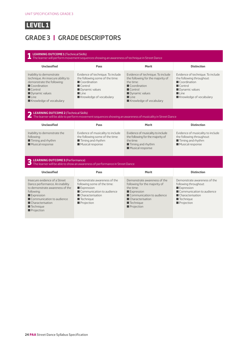## **GRADE 3 | GRADE DESCRIPTORS**

#### **1 LEARNING OUTCOME 1** (Technical Skills) The learner will perform movement sequences showing an awareness of technique in Street Dance **Unclassified Pass Merit Distinction** Inability to demonstrate technique. An insecure ability to demonstrate the following:  $\blacksquare$  Coordination  $\blacksquare$  Control **Dynamic values**  $\blacksquare$  Line  $\blacksquare$  Knowledge of vocabulary Evidence of technique. To include the following some of the time:  $\blacksquare$  Coordination  $\blacksquare$  Control **Dynamic values**  $\blacksquare$  Line Knowledge of vocabulary Evidence of technique. To include the following for the majority of the time:  $\blacksquare$  Coordination  $\blacksquare$  Control **Dynamic values**  $\blacksquare$  Line  $\blacksquare$  Knowledge of vocabulary Evidence of technique. To include the following throughout:  $\blacksquare$  Coordination  $\blacksquare$  Control **Dynamic values**  $Line$ Knowledge of vocabulary **2 LEARNING OUTCOME 2** (Technical Skills) The learner will be able to perform movement sequences showing an awareness of musicality in Street Dance **Unclassified Pass Merit Distinction** Inability to demonstrate the following:  $\blacksquare$  Timing and rhythm **Musical response** Evidence of musicality to include the following some of the time:  $\blacksquare$  Timing and rhythm  $\blacksquare$  Musical response Evidence of musicality to include the following for the majority of the time: ■ Timing and rhythm  $\blacksquare$  Musical response Evidence of musicality to include the following throughout:  $\blacksquare$  Timing and rhythm **Musical response 3 LEARNING OUTCOME 3** (Performance) The learner will be able to show an awareness of performance in Street Dance **Unclassified Pass Merit Distinction** Insecure evidence of a Street Dance performance. An inability to demonstrate awareness of the following:  $\blacksquare$  Expression  $\blacksquare$  Communication to audience ■ Characterisation  $\blacksquare$  Technique **Projection** Demonstrate awareness of the following some of the time:  $\square$  Expression  $\blacksquare$  Communication to audience ■ Characterisation  $\blacksquare$  Technique **Projection** Demonstrate awareness of the following for the majority of the time:  $\square$  Expression  $\blacksquare$  Communication to audience Characterisation  $\blacksquare$  Technique  $\blacksquare$  Projection Demonstrate awareness of the following throughout: **Expression**  $\blacksquare$  Communication to audience ■ Characterisation  $\blacksquare$  Technique **Projection**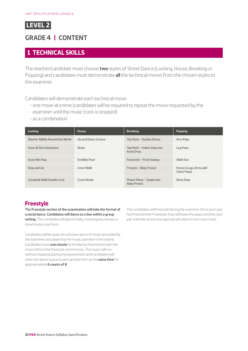## <span id="page-24-0"></span>**GRADE 4 | CONTENT**

#### **1 TECHNICAL SKILLS**

The teacher/candidate must choose **two** styles of Street Dance (Locking, House, Breaking or Popping) and candidates must demonstrate **all** the technical moves from the chosen styles to the examiner.

Candidates will demonstrate each technical move:

- one move at a time (candidates will be required to repeat the move requested by the examiner until the music track is stopped)
- as a combination

| <b>Locking</b>                  | <b>House</b>       | <b>Breaking</b>                               | <b>Popping</b>                        |
|---------------------------------|--------------------|-----------------------------------------------|---------------------------------------|
| Skeeter Rabbit Around the World | Up and Down Groove | Top Rock - Outlaw Dance                       | Arm Pops                              |
| Scoo-B-Doo (Variation)          | Skate              | Top Rock - Indian Step into<br>Knee Drop      | Leg Pops                              |
| Scoo-Bot Hop                    | Scribble Foot      | Footwork - Front Sweep                        | Walk Out                              |
| Stop and Go                     | Cross Walk         | Freezes - Baby Freeze                         | Fresno (Legs, Arms add<br>Chest Pops) |
| Campbell Walk Double Lock       | Cross Roads        | Power Move - Swipe into<br><b>Baby Freeze</b> | Dime Stop                             |

#### **Freestyle**

**The Freestyle section of the examination will take the format of a social dance. Candidates will dance as a duo within a group setting.** The candidate will dance freely, choosing any moves or street style to perform.

Candidates will be given an unknown piece of music (provided by the examiner and played by the music operator in the exam). Candidates have **one minute** to familiarise themselves with the music before the freestyle commences. The music will run without stopping during the assessment, and candidates will enter the dance space in pairs and perform at the **same time** for approximately **4 counts of 8**.

The candidates will freestyle facing the examiner. Once each pair has finished their Freestyle, they will leave the space and the next pair will enter at the next appropriate place in the music track.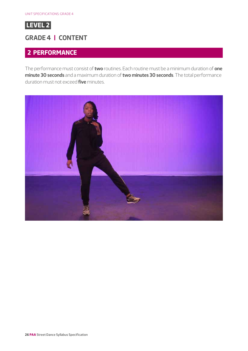

#### **GRADE 4 | CONTENT**

#### **2 PERFORMANCE**

The performance must consist of **two** routines. Each routine must be a minimum duration of **one minute 30 seconds** and a maximum duration of **two minutes 30 seconds**. The total performance duration must not exceed **five** minutes.

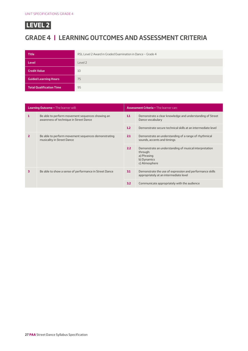

## **GRADE 4 | LEARNING OUTCOMES AND ASSESSMENT CRITERIA**

| <b>Title</b>                    | RSL Level 2 Award in Graded Examination in Dance - Grade 4 |
|---------------------------------|------------------------------------------------------------|
| <b>Level</b>                    | Level 2                                                    |
| <b>Credit Value</b>             | 10                                                         |
| <b>Guided Learning Hours</b>    | 75                                                         |
| <b>Total Qualification Time</b> | 95                                                         |

| <b>Learning Outcome - The learner will:</b>                                                         |                                                                                            | <b>Assessment Criteria - The learner can:</b>                                        |                                                                                                                   |
|-----------------------------------------------------------------------------------------------------|--------------------------------------------------------------------------------------------|--------------------------------------------------------------------------------------|-------------------------------------------------------------------------------------------------------------------|
| 1                                                                                                   | Be able to perform movement sequences showing an<br>awareness of technique in Street Dance | 1.1                                                                                  | Demonstrate a clear knowledge and understanding of Street<br>Dance vocabulary                                     |
|                                                                                                     |                                                                                            | 1.2                                                                                  | Demonstrate secure technical skills at an intermediate level                                                      |
| Be able to perform movement sequences demonstrating<br>$\overline{2}$<br>musicality in Street Dance | 2.1                                                                                        | Demonstrate an understanding of a range of rhythmical<br>sounds, accents and timings |                                                                                                                   |
|                                                                                                     |                                                                                            | 2.2                                                                                  | Demonstrate an understanding of musical interpretation<br>through:<br>a) Phrasing<br>b) Dynamics<br>c) Atmosphere |
| 3                                                                                                   | Be able to show a sense of performance in Street Dance                                     | 3.1                                                                                  | Demonstrate the use of expression and performance skills<br>appropriately at an intermediate level                |
|                                                                                                     |                                                                                            | 3.2                                                                                  | Communicate appropriately with the audience                                                                       |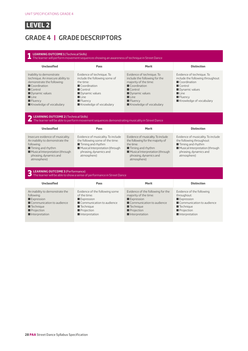## **GRADE 4 | GRADE DESCRIPTORS**

#### **1 LEARNING OUTCOME 1** (Technical Skills) The learner will perform movement sequences showing an awareness of technique in Street Dance **Unclassified Pass Merit Distinction** Inability to demonstrate technique. An insecure ability to demonstrate the following:  $\blacksquare$  Coordination  $\blacksquare$  Control  $\blacksquare$  Dynamic values  $\blacksquare$  Line  $\blacksquare$  Fluency  $\blacksquare$  Knowledge of vocabulary Evidence of technique. To include the following some of the time:  $\blacksquare$  Coordination  $\blacksquare$  Control  $\blacksquare$  Dynamic values  $\blacksquare$  Line  $\blacksquare$  Fluency  $\blacksquare$  Knowledge of vocabulary Evidence of technique. To include the following for the majority of the time:  $\Box$  Coordination  $\blacksquare$  Control **Dynamic values**  $\blacksquare$  Line  $\blacksquare$  Fluency  $\blacksquare$  Knowledge of vocabulary Evidence of technique. To include the following throughout: Coordination  $\Box$  Control **Dynamic values**  $\blacksquare$  Line  $\blacksquare$  Fluency  $\blacksquare$  Knowledge of vocabulary **2 LEARNING OUTCOME 2** (Technical Skills) The learner will be able to perform movement sequences demonstrating musicality in Street Dance **Unclassified Pass Merit Distinction** Insecure evidence of musicality. An inability to demonstrate the following:  $\blacksquare$  Timing and rhythm  $\blacksquare$  Musical Interpretation (through phrasing, dynamics and atmosphere) Evidence of musicality. To include the following some of the time:  $\blacksquare$  Timing and rhythm  $\blacksquare$  Musical Interpretation (through phrasing, dynamics and atmosphere) Evidence of musicality. To include the following for the majority of the time:  $\blacksquare$  <br> Timing and rhythm  $\blacksquare$  Musical Interpretation (through phrasing, dynamics and atmosphere) Evidence of musicality. To include the following throughout:  $\blacksquare$  Timing and rhythm  $\blacksquare$  Musical Interpretation (through phrasing, dynamics and atmosphere) **3 LEARNING OUTCOME 3** (Performance) The learner will be able to show a sense of performance in Street Dance **Unclassified Pass Merit Distinction** An inability to demonstrate the following:  $\square$  Expression  $\blacksquare$  Communication to audience  $\blacksquare$  Technique **Projection**  $\blacksquare$  Interpretation Evidence of the following some of the time:  $\square$  Expression  $\blacksquare$  Communication to audience  $\blacksquare$  Technique Projection  $\blacksquare$  Interpretation Evidence of the following for the majority of the time:  $\blacksquare$  Expression  $\blacksquare$  Communication to audience  $\blacksquare$  Technique **Projection**  $\blacksquare$  Interpretation Evidence of the following throughout:  $\blacksquare$  Expression  $\blacksquare$  Communication to audience  $\blacksquare$  Technique **Projection**  $\blacksquare$  Interpretation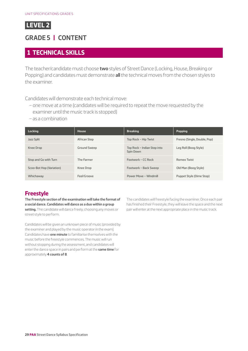## <span id="page-28-0"></span>**GRADE 5 | CONTENT**

#### **1 TECHNICAL SKILLS**

The teacher/candidate must choose **two** styles of Street Dance (Locking, House, Breaking or Popping) and candidates must demonstrate **all** the technical moves from the chosen styles to the examiner.

Candidates will demonstrate each technical move:

- one move at a time (candidates will be required to repeat the move requested by the examiner until the music track is stopped)
- as a combination

| <b>Locking</b>           | House               | <b>Breaking</b>                          | <b>Popping</b>               |
|--------------------------|---------------------|------------------------------------------|------------------------------|
| Jazz Split               | African Step        | Top Rock – Hip Twist                     | Fresno (Single, Double, Pop) |
| <b>Knee Drop</b>         | <b>Ground Sweep</b> | Top Rock – Indian Step into<br>Spin Down | Leg Roll (Boog Style)        |
| Stop and Go with Turn    | The Farmer          | Footwork – $CC$ Rock                     | Romeo Twist                  |
| Scoo-Bot Hop (Variation) | Knee Drop           | Footwork - Back Sweep                    | Old Man (Boog Style)         |
| Whichaway                | Feel/Groove         | Power Move - Windmill                    | Puppet Style (Dime Stop)     |

#### **Freestyle**

**The Freestyle section of the examination will take the format of a social dance. Candidates will dance as a duo within a group setting.** The candidate will dance freely, choosing any moves or street style to perform.

Candidates will be given an unknown piece of music (provided by the examiner and played by the music operator in the exam). Candidates have **one minute** to familiarise themselves with the music before the freestyle commences. The music will run without stopping during the assessment, and candidates will enter the dance space in pairs and perform at the **same time** for approximately **4 counts of 8**.

The candidates will freestyle facing the examiner. Once each pair has finished their Freestyle, they will leave the space and the next pair will enter at the next appropriate place in the music track.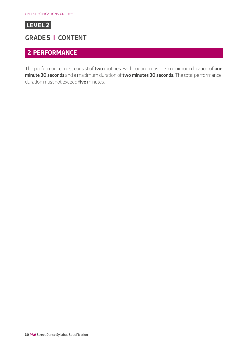

#### **GRADE 5 | CONTENT**

#### **2 PERFORMANCE**

The performance must consist of **two** routines. Each routine must be a minimum duration of **one minute 30 seconds** and a maximum duration of **two minutes 30 seconds**. The total performance duration must not exceed **five** minutes.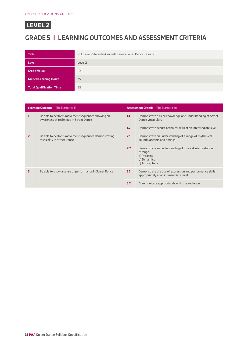

## **GRADE 5 | LEARNING OUTCOMES AND ASSESSMENT CRITERIA**

| <b>Title</b>                    | RSL Level 2 Award in Graded Examination in Dance - Grade 5 |
|---------------------------------|------------------------------------------------------------|
| <b>Level</b>                    | Level 2                                                    |
| <b>Credit Value</b>             | 10                                                         |
| <b>Guided Learning Hours</b>    | 75                                                         |
| <b>Total Qualification Time</b> | 95                                                         |

| <b>Learning Outcome - The learner will:</b> |                                                                                            | <b>Assessment Criteria - The learner can:</b> |                                                                                                                   |
|---------------------------------------------|--------------------------------------------------------------------------------------------|-----------------------------------------------|-------------------------------------------------------------------------------------------------------------------|
| 1                                           | Be able to perform movement sequences showing an<br>awareness of technique in Street Dance | 1.1                                           | Demonstrate a clear knowledge and understanding of Street<br>Dance vocabulary                                     |
|                                             |                                                                                            | 1.2                                           | Demonstrate secure technical skills at an intermediate level                                                      |
| $\overline{2}$                              | Be able to perform movement sequences demonstrating<br>musicality in Street Dance          | 2.1                                           | Demonstrate an understanding of a range of rhythmical<br>sounds, accents and timings                              |
|                                             |                                                                                            | 2.2                                           | Demonstrate an understanding of musical interpretation<br>through:<br>a) Phrasing<br>b) Dynamics<br>c) Atmosphere |
| 3                                           | Be able to show a sense of performance in Street Dance                                     | 3.1                                           | Demonstrate the use of expression and performance skills<br>appropriately at an intermediate level                |
|                                             |                                                                                            | 3.2                                           | Communicate appropriately with the audience                                                                       |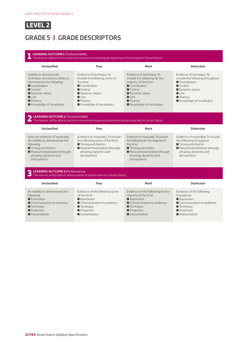## **GRADE 5 | GRADE DESCRIPTORS**

## **1 LEARNING OUTCOME 1** (Technical Skills) The learner will perform movement sequences showing an awareness of technique in Street Dance

| <b>Unclassified</b>                                                                                                                                                                                                                 | Pass                                                                                                                                                                                                                           | <b>Merit</b>                                                                                                                                                                                                                               | <b>Distinction</b>                                                                                                                                                                                     |  |  |
|-------------------------------------------------------------------------------------------------------------------------------------------------------------------------------------------------------------------------------------|--------------------------------------------------------------------------------------------------------------------------------------------------------------------------------------------------------------------------------|--------------------------------------------------------------------------------------------------------------------------------------------------------------------------------------------------------------------------------------------|--------------------------------------------------------------------------------------------------------------------------------------------------------------------------------------------------------|--|--|
| Inability to demonstrate<br>technique. An insecure ability to<br>demonstrate the following:<br>Coordination<br>$\blacksquare$ Control<br>Dynamic values<br>$\blacksquare$ Line<br>$\blacksquare$ Fluency<br>Knowledge of vocabulary | Evidence of technique. To<br>include the following some of<br>the time:<br>$\blacksquare$ Coordination<br>$\blacksquare$ Control<br>Dynamic values<br>$\blacksquare$ Line<br>$\blacksquare$ Fluency<br>Knowledge of vocabulary | Evidence of technique. To<br>include the following for the<br>majority of the time:<br>$\blacksquare$ Coordination<br>$\blacksquare$ Control<br>Dynamic values<br>$\blacksquare$ Line<br>$\blacksquare$ Fluency<br>Knowledge of vocabulary | Evidence of technique. To<br>include the following throughout:<br>Coordination<br>$\blacksquare$ Control<br>Dynamic values<br>$\blacksquare$ Line<br>$\blacksquare$ Fluency<br>Knowledge of vocabulary |  |  |
| <b>EXAMPLE 2</b> (Technical Skills)<br>The learner will be able to perform movement sequences demonstrating musicality in Street Dance                                                                                              |                                                                                                                                                                                                                                |                                                                                                                                                                                                                                            |                                                                                                                                                                                                        |  |  |

| <b>Unclassified</b>                                                                                                                                                                               | Pass                                                                                                                                                                                  | <b>Merit</b>                                                                                                                                                                                         | <b>Distinction</b>                                                                                                                                                              |
|---------------------------------------------------------------------------------------------------------------------------------------------------------------------------------------------------|---------------------------------------------------------------------------------------------------------------------------------------------------------------------------------------|------------------------------------------------------------------------------------------------------------------------------------------------------------------------------------------------------|---------------------------------------------------------------------------------------------------------------------------------------------------------------------------------|
| Insecure evidence of musicality.<br>An inability to demonstrate the<br>following:<br>$\blacksquare$ Timing and rhythm<br>Musical Interpretation (through<br>phrasing, dynamics and<br>atmosphere) | Evidence of musicality. To include<br>the following some of the time:<br>$\blacksquare$ Timing and rhythm<br>Musical Interpretation (through<br>phrasing, dynamics and<br>atmosphere) | Evidence of musicality. To include<br>the following for the majority of<br>the time:<br>$\blacksquare$ Timing and rhythm<br>Musical Interpretation (through<br>phrasing, dynamics and<br>atmosphere) | Evidence of musicality. To include<br>the following throughout:<br>$\blacksquare$ Timing and rhythm<br>Musical Interpretation (through<br>phrasing, dynamics and<br>atmospherel |

#### **3 LEARNING OUTCOME 3** (Performance)

| $\Box$ The learner will be able to show a sense of performance in Street Dance                                                                                                     |                                                                                                                                                       |                                                                                                                                                                                  |                                                                                                                                                        |  |  |
|------------------------------------------------------------------------------------------------------------------------------------------------------------------------------------|-------------------------------------------------------------------------------------------------------------------------------------------------------|----------------------------------------------------------------------------------------------------------------------------------------------------------------------------------|--------------------------------------------------------------------------------------------------------------------------------------------------------|--|--|
| <b>Unclassified</b>                                                                                                                                                                | Pass                                                                                                                                                  | <b>Merit</b>                                                                                                                                                                     | <b>Distinction</b>                                                                                                                                     |  |  |
| An inability to demonstrate the<br>following:<br>$\blacksquare$ Expression<br>Communication to audience<br>$\blacksquare$ Technique<br>Projection<br>$\blacksquare$ Interpretation | Evidence of the following some<br>of the time:<br>Expression<br>Communication to audience<br>$\blacksquare$ Technique<br>Projection<br>Interpretation | Evidence of the following for the<br>majority of the time:<br>$\blacksquare$ Expression<br>Communication to audience<br>$\blacksquare$ Technique<br>Projection<br>Interpretation | Evidence of the following<br>throughout:<br>Expression<br>Communication to audience<br>$\blacksquare$ Technique<br><b>Projection</b><br>Interpretation |  |  |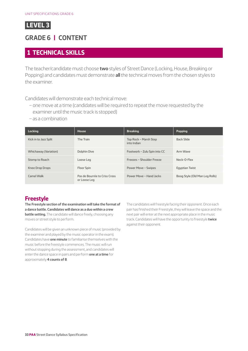## <span id="page-32-0"></span>**GRADE 6 | CONTENT**

#### **1 TECHNICAL SKILLS**

The teacher/candidate must choose **two** styles of Street Dance (Locking, House, Breaking or Popping) and candidates must demonstrate **all** the technical moves from the chosen styles to the examiner.

Candidates will demonstrate each technical move:

- one move at a time (candidates will be required to repeat the move requested by the examiner until the music track is stopped)
- as a combination

| <b>Locking</b>               | <b>House</b>                                  | <b>Breaking</b>                      | <b>Popping</b>                 |
|------------------------------|-----------------------------------------------|--------------------------------------|--------------------------------|
| Kick in to Jazz Split        | The Train                                     | Top Rock - Marsh Step<br>into Indian | <b>Back Slide</b>              |
| <b>Whichaway (Variation)</b> | Dolphin Dive                                  | Footwork - Zulu Spin into CC         | Arm Wave                       |
| Stomp to Roach               | Loose Leg                                     | Freezes - Shoulder Freeze            | Neck-O-Flex                    |
| <b>Knee Drop Drops</b>       | Floor Spin                                    | Power Move - Swipes                  | <b>Egyptian Twist</b>          |
| Camel Walk                   | Pas de Bourrée to Criss Cross<br>or Loose Leg | Power Move - Hand Jacks              | Boog Style (Old Man Leg Rolls) |

#### **Freestyle**

**The Freestyle section of the examination will take the format of a dance battle. Candidates will dance as a duo within a crew battle setting.** The candidate will dance freely, choosing any moves or street style to perform.

Candidates will be given an unknown piece of music (provided by the examiner and played by the music operator in the exam). Candidates have **one minute** to familiarise themselves with the music before the freestyle commences. The music will run without stopping during the assessment, and candidates will enter the dance space in pairs and perform **one at a time** for approximately **4 counts of 8**.

The candidates will freestyle facing their opponent. Once each pair has finished their Freestyle, they will leave the space and the next pair will enter at the next appropriate place in the music track. Candidates will have the opportunity to freestyle **twice** against their opponent.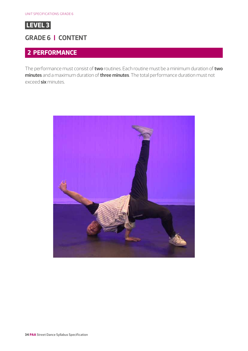

## **GRADE 6 | CONTENT**

## **2 PERFORMANCE**

The performance must consist of **two** routines. Each routine must be a minimum duration of **two minutes** and a maximum duration of **three minutes**. The total performance duration must not exceed **six** minutes.

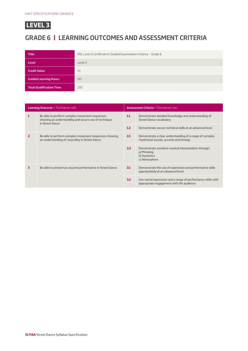

## **GRADE 6 | LEARNING OUTCOMES AND ASSESSMENT CRITERIA**

| <b>Title</b>                    | RSL Level 3 Certificate in Graded Examination in Dance - Grade 6 |
|---------------------------------|------------------------------------------------------------------|
| <b>Level</b>                    | Level 3                                                          |
| <b>Credit Value</b>             | 13                                                               |
| <b>Guided Learning Hours</b>    | 90                                                               |
| <b>Total Qualification Time</b> | 130                                                              |

| <b>Learning Outcome - The learner will:</b> |                                                                                                                          | <b>Assessment Criteria - The learner can:</b> |                                                                                                          |
|---------------------------------------------|--------------------------------------------------------------------------------------------------------------------------|-----------------------------------------------|----------------------------------------------------------------------------------------------------------|
| 1                                           | Be able to perform complex movement sequences<br>showing an understanding and secure use of technique<br>in Street Dance | 1.1                                           | Demonstrate detailed knowledge and understanding of<br><b>Street Dance vocabulary</b>                    |
|                                             |                                                                                                                          | 1.2                                           | Demonstrate secure technical skills at an advanced level                                                 |
| $\overline{2}$                              | Be able to perform complex movement sequences showing<br>an understanding of musicality in Street Dance                  | 2.1                                           | Demonstrate a clear understanding of a range of complex<br>rhythmical sounds, accents and timings        |
|                                             |                                                                                                                          | 2.2                                           | Demonstrate sensitive musical interpretation through:<br>a) Phrasing<br>b) Dynamics<br>c) Atmosphere     |
| 3                                           | Be able to present an assured performance in Street Dance                                                                | 3.1                                           | Demonstrate the use of expression and performance skills<br>appropriately at an advanced level           |
|                                             |                                                                                                                          | 3.2 <sub>2</sub>                              | Use varied expression and a range of performance skills with<br>appropriate engagement with the audience |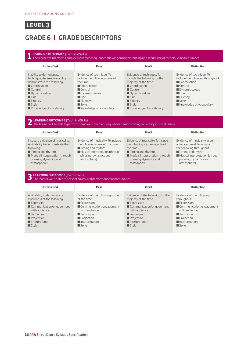## **GRADE 6 | GRADE DESCRIPTORS**

#### **1 LEARNING OUTCOME 1** (Technical Skills) The learner will perform complex movement sequences showing an understanding and secure use of technique in Street Dance **Unclassified Pass Merit Distinction** Inability to demonstrate technique. An insecure ability to demonstrate the following:  $\blacksquare$  Coordination  $\blacksquare$  Control  $\blacksquare$  Dynamic values  $\blacksquare$  Line  $\blacksquare$  Fluency  $S$ tyle  $\blacksquare$  Knowledge of vocabulary Evidence of technique. To include the following some of the time:  $\blacksquare$  Coordination  $\blacksquare$  Control  $\blacksquare$  Dynamic values  $\blacksquare$  Line  $\blacksquare$  Fluency Style  $\blacksquare$  Knowledge of vocabulary Evidence of technique. To include the following for the majority of the time:  $\Box$  Coordination  $\blacksquare$  Control **Dynamic values**  $\blacksquare$  Line  $\blacksquare$  Fluency  $\blacksquare$  Style  $\blacksquare$  Knowledge of vocabulary Evidence of technique. To include the following throughout: Coordination  $\blacksquare$  Control **D** Dynamic values  $\blacksquare$  Line  $\blacksquare$  Fluency  $\blacksquare$  Style  $\blacksquare$  Knowledge of vocabulary **2 LEARNING OUTCOME 2** (Technical Skills) The learner will be able to perform complex movement sequences demonstrating musicality in Street Dance **Unclassified Pass Merit Distinction** Insecure evidence of musicality. An inability to demonstrate the following: **Timing and rhythm Musical Interpretation (through** phrasing, dynamics and atmosphere) Evidence of musicality. To include the following some of the time:  $\blacksquare$  Timing and rhythm  $\blacksquare$  Musical Interpretation (through phrasing, dynamics and atmosphere) Evidence of musicality. To include the following for the majority of the time: ■ Timing and rhythm **Musical Interpretation (through** phrasing, dynamics and atmosphere) Evidence of musicality at an advanced level. To include the following throughout:  $\blacksquare$  Timing and rhythm **Musical Interpretation (through** phrasing, dynamics and atmosphere) **3 LEARNING OUTCOME 3** (Performance) The learner will be able to present an assured performance in Street Dance **Unclassified Pass Merit Distinction** An inability to demonstrate awareness of the following: **Expression** Communication/engagement with audience  $\blacksquare$  Technique **Projection**  $\blacksquare$  Interpretation  $\blacksquare$  Style Evidence of the following some of the time: **Expression**  $\blacksquare$  Communication/engagement with audience  $\blacksquare$  Technique **Projection**  $\blacksquare$  Interpretation  $\blacksquare$  Style Evidence of the following for the majority of the time:  $\square$  Expression Communication/engagement with audience  $\blacksquare$  Technique **Projection**  $\blacksquare$  Interpretation  $\blacksquare$  Style Evidence of the following throughout: **Expression**  $\blacksquare$  Communication/engagement with audience  $\blacksquare$  Technique  $\blacksquare$  Projection  $\blacksquare$  Interpretation  $\blacksquare$  Style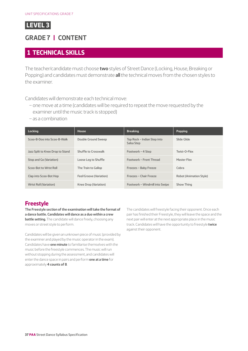## <span id="page-36-0"></span>**GRADE 7 | CONTENT**

#### **1 TECHNICAL SKILLS**

The teacher/candidate must choose **two** styles of Street Dance (Locking, House, Breaking or Popping) and candidates must demonstrate **all** the technical moves from the chosen styles to the examiner.

Candidates will demonstrate each technical move:

- one move at a time (candidates will be required to repeat the move requested by the examiner until the music track is stopped)
- as a combination

| <b>Locking</b>                   | <b>House</b>            | <b>Breaking</b>                           | <b>Popping</b>          |
|----------------------------------|-------------------------|-------------------------------------------|-------------------------|
| Scoo-B-Doo into Scoo-B-Walk      | Double Ground Sweep     | Top Rock - Indian Step into<br>Salsa Step | Slide Glide             |
| Jazz Split to Knee Drop to Stand | Shuffle to Crosswalk    | Footwork - 4 Step                         | Twist-O-Flex            |
| Stop and Go (Variation)          | Loose Leg to Shuffle    | Footwork - Front Thread                   | <b>Master Flex</b>      |
| Scoo-Bot to Wrist Roll           | The Train to Gallop     | Freezes - Baby Freeze                     | Cobra                   |
| Clap into Scoo-Bot Hop           | Feel/Groove (Variation) | Freezes - Chair Freeze                    | Robot (Animation Style) |
| Wrist Roll (Variation)           | Knee Drop (Variation)   | Footwork - Windmill into Swipe            | Show Thing              |

#### **Freestyle**

**The Freestyle section of the examination will take the format of a dance battle. Candidates will dance as a duo within a crew battle setting.** The candidate will dance freely, choosing any moves or street style to perform.

Candidates will be given an unknown piece of music (provided by the examiner and played by the music operator in the exam). Candidates have **one minute** to familiarise themselves with the music before the freestyle commences. The music will run without stopping during the assessment, and candidates will enter the dance space in pairs and perform **one at a time** for approximately **4 counts of 8**.

The candidates will freestyle facing their opponent. Once each pair has finished their Freestyle, they will leave the space and the next pair will enter at the next appropriate place in the music track. Candidates will have the opportunity to freestyle **twice** against their opponent.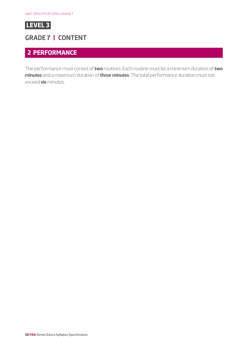

#### **GRADE 7 | CONTENT**

#### **2 PERFORMANCE**

The performance must consist of **two** routines. Each routine must be a minimum duration of **two minutes** and a maximum duration of **three minutes**. The total performance duration must not exceed **six** minutes.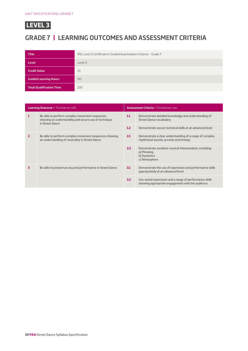## **GRADE 7 | LEARNING OUTCOMES AND ASSESSMENT CRITERIA**

| <b>Title</b>                    | RSL Level 3 Certificate in Graded Examination in Dance - Grade 7 |
|---------------------------------|------------------------------------------------------------------|
| Level                           | Level 3                                                          |
| <b>Credit Value</b>             | 13                                                               |
| <b>Guided Learning Hours</b>    | 90                                                               |
| <b>Total Qualification Time</b> | 130                                                              |

| <b>Learning Outcome - The learner will:</b> |                                                                                                                          | <b>Assessment Criteria - The learner can:</b> |                                                                                                             |
|---------------------------------------------|--------------------------------------------------------------------------------------------------------------------------|-----------------------------------------------|-------------------------------------------------------------------------------------------------------------|
| 1                                           | Be able to perform complex movement sequences<br>showing an understanding and secure use of technique<br>in Street Dance | 1.1                                           | Demonstrate detailed knowledge and understanding of<br><b>Street Dance vocabulary</b>                       |
|                                             |                                                                                                                          | 1.2                                           | Demonstrate secure technical skills at an advanced level                                                    |
| $\mathbf{z}$                                | Be able to perform complex movement sequences showing<br>an understanding of musicality in Street Dance                  | 2.1                                           | Demonstrate a clear understanding of a range of complex<br>rhythmical sounds, accents and timings           |
|                                             |                                                                                                                          | 2.2                                           | Demonstrate sensitive musical interpretation, including:<br>a) Phrasing<br>b) Dynamics<br>c) Atmosphere     |
| 3                                           | Be able to present an assured performance in Street Dance                                                                | 3.1                                           | Demonstrate the use of expression and performance skills<br>appropriately at an advanced level              |
|                                             |                                                                                                                          | 3.2                                           | Use varied expression and a range of performance skills<br>showing appropriate engagement with the audience |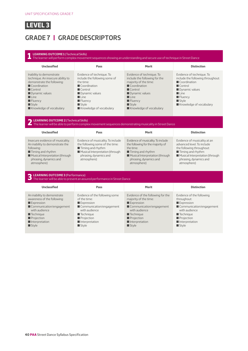## **GRADE 7 | GRADE DESCRIPTORS**

#### **1 LEARNING OUTCOME 1** (Technical Skills) The learner will perform complex movement sequences showing an understanding and secure use of technique in Street Dance **Unclassified Pass Merit Distinction** Inability to demonstrate technique. An insecure ability to demonstrate the following:  $\blacksquare$  Coordination  $\blacksquare$  Control  $\blacksquare$  Dynamic values  $\blacksquare$  Line  $\blacksquare$  Fluency  $S$ tyle  $\blacksquare$  Knowledge of vocabulary Evidence of technique. To include the following some of the time:  $\blacksquare$  Coordination  $\blacksquare$  Control  $\blacksquare$  Dynamic values  $\blacksquare$  Line  $\blacksquare$  Fluency Style  $\blacksquare$  Knowledge of vocabulary Evidence of technique. To include the following for the majority of the time:  $\Box$  Coordination  $\blacksquare$  Control **Dynamic values**  $\blacksquare$  Line  $\blacksquare$  Fluency  $\blacksquare$  Style  $\blacksquare$  Knowledge of vocabulary Evidence of technique. To include the following throughout: Coordination  $\blacksquare$  Control **D** Dynamic values  $\blacksquare$  Line  $\blacksquare$  Fluency  $\blacksquare$  Style  $\blacksquare$  Knowledge of vocabulary **2 LEARNING OUTCOME 2** (Technical Skills) The learner will be able to perform complex movement sequences demonstrating musicality in Street Dance **Unclassified Pass Merit Distinction** Insecure evidence of musicality. An inability to demonstrate the following: **Timing and rhythm Musical Interpretation (through** phrasing, dynamics and atmosphere) Evidence of musicality. To include the following some of the time:  $\blacksquare$  Timing and rhythm  $\blacksquare$  Musical Interpretation (through phrasing, dynamics and atmosphere) Evidence of musicality. To include the following for the majority of the time: ■ Timing and rhythm **Musical Interpretation (through** phrasing, dynamics and atmosphere) Evidence of musicality at an advanced level. To include the following throughout:  $\blacksquare$  Timing and rhythm **Musical Interpretation (through** phrasing, dynamics and atmosphere) **3 LEARNING OUTCOME 3** (Performance) The learner will be able to present an assured performance in Street Dance **Unclassified Pass Merit Distinction** An inability to demonstrate awareness of the following: **Expression** Communication/engagement with audience  $\blacksquare$  Technique **Projection**  $\blacksquare$  Interpretation  $\blacksquare$  Style Evidence of the following some of the time: **Expression**  $\blacksquare$  Communication/engagement with audience  $\blacksquare$  Technique **Projection**  $\blacksquare$  Interpretation  $\blacksquare$  Style Evidence of the following for the majority of the time:  $\blacksquare$  Expression Communication/engagement with audience  $\blacksquare$  Technique **Projection**  $\blacksquare$  Interpretation  $\blacksquare$  Style Evidence of the following throughout: **Expression**  $\blacksquare$  Communication/engagement with audience  $\blacksquare$  Technique  $\blacksquare$  Projection  $\blacksquare$  Interpretation  $\blacksquare$  Style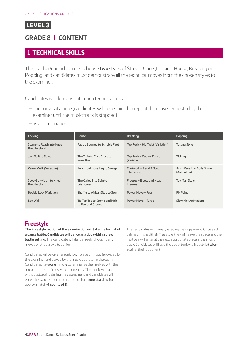<span id="page-40-0"></span>

## **GRADE 8 | CONTENT**

#### **1 TECHNICAL SKILLS**

The teacher/candidate must choose **two** styles of Street Dance (Locking, House, Breaking or Popping) and candidates must demonstrate **all** the technical moves from the chosen styles to the examiner.

Candidates will demonstrate each technical move:

- one move at a time (candidates will be required to repeat the move requested by the examiner until the music track is stopped)
- as a combination

| <b>Locking</b>                            | <b>House</b>                                        | <b>Breaking</b>                            | <b>Popping</b>                         |
|-------------------------------------------|-----------------------------------------------------|--------------------------------------------|----------------------------------------|
| Stomp to Roach into Knee<br>Drop to Stand | Pas de Bourrée to Scribble Foot                     | Top Rock – Hip Twist (Variation)           | <b>Tutting Style</b>                   |
| Jazz Split to Stand                       | The Train to Criss Cross to<br>Knee Drop            | Top Rock - Outlaw Dance<br>(Variation)     | <b>Ticking</b>                         |
| Camel Walk (Variation)                    | Jack in to Loose Leg to Sweep                       | Footwork $-2$ and 4 Step<br>into Freeze    | Arm Wave into Body Wave<br>(Animation) |
| Scoo-Bot-Hop into Knee<br>Drop to Stand   | The Gallop into Spin to<br><b>Criss Cross</b>       | Freezes - Elbow and Head<br><b>Freezes</b> | <b>Toy Man Style</b>                   |
| Double Lock (Variation)                   | Shuffle to African Step to Spin                     | Power Move - Fear                          | <b>Fix Point</b>                       |
| Leo Walk                                  | Tip Tap Toe to Stomp and Kick<br>to Feel and Groove | Power Move - Turtle                        | Slow Mo (Animation)                    |

#### **Freestyle**

**The Freestyle section of the examination will take the format of a dance battle. Candidates will dance as a duo within a crew battle setting.** The candidate will dance freely, choosing any moves or street style to perform.

Candidates will be given an unknown piece of music (provided by the examiner and played by the music operator in the exam). Candidates have **one minute** to familiarise themselves with the music before the freestyle commences. The music will run without stopping during the assessment and candidates will enter the dance space in pairs and perform **one at a time** for approximately **4 counts of 8**.

The candidates will freestyle facing their opponent. Once each pair has finished their Freestyle, they will leave the space and the next pair will enter at the next appropriate place in the music track. Candidates will have the opportunity to freestyle **twice** against their opponent.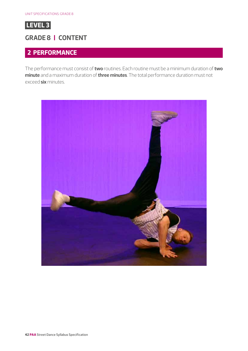

## **GRADE 8 | CONTENT**

### **2 PERFORMANCE**

The performance must consist of **two** routines. Each routine must be a minimum duration of **two minute** and a maximum duration of **three minutes**. The total performance duration must not exceed **six** minutes.

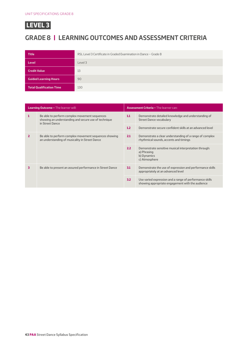## **GRADE 8 | LEARNING OUTCOMES AND ASSESSMENT CRITERIA**

| <b>Title</b>                    | RSL Level 3 Certificate in Graded Examination in Dance - Grade 8 |
|---------------------------------|------------------------------------------------------------------|
| <b>Level</b>                    | Level 3                                                          |
| <b>Credit Value</b>             | 13                                                               |
| <b>Guided Learning Hours</b>    | 90                                                               |
| <b>Total Qualification Time</b> | 130                                                              |

| <b>Learning Outcome - The learner will:</b> |                                                                                                                          | <b>Assessment Criteria - The learner can:</b> |                                                                                                             |
|---------------------------------------------|--------------------------------------------------------------------------------------------------------------------------|-----------------------------------------------|-------------------------------------------------------------------------------------------------------------|
| 1                                           | Be able to perform complex movement sequences<br>showing an understanding and secure use of technique<br>in Street Dance | 1.1                                           | Demonstrate detailed knowledge and understanding of<br><b>Street Dance vocabulary</b>                       |
|                                             |                                                                                                                          | 1.2                                           | Demonstrate secure confident skills at an advanced level                                                    |
| $\mathbf{z}$                                | Be able to perform complex movement sequences showing<br>an understanding of musicality in Street Dance                  | 2.1                                           | Demonstrate a clear understanding of a range of complex<br>rhythmical sounds, accents and timings           |
|                                             |                                                                                                                          | 2.2                                           | Demonstrate sensitive musical interpretation through:<br>a) Phrasing<br>b) Dynamics<br>c) Atmosphere        |
| 3                                           | Be able to present an assured performance in Street Dance                                                                | 3.1                                           | Demonstrate the use of expression and performance skills<br>appropriately at an advanced level              |
|                                             |                                                                                                                          | 3.2                                           | Use varied expression and a range of performance skills<br>showing appropriate engagement with the audience |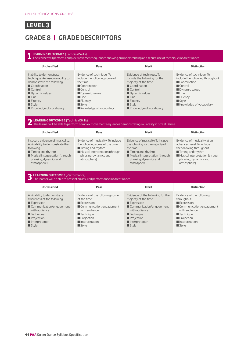## **GRADE 8 | GRADE DESCRIPTORS**

#### **1 LEARNING OUTCOME 1** (Technical Skills) The learner will perform complex movement sequences showing an understanding and secure use of technique in Street Dance **Unclassified Pass Merit Distinction** Inability to demonstrate technique. An insecure ability to demonstrate the following:  $\blacksquare$  Coordination  $\blacksquare$  Control **Dynamic values**  $\blacksquare$  Line  $\blacksquare$  Fluency  $S$ tyle  $\blacksquare$  Knowledge of vocabulary Evidence of technique. To include the following some of the time:  $\blacksquare$  Coordination  $\blacksquare$  Control  $\blacksquare$  Dynamic values  $\blacksquare$  Line  $\blacksquare$  Fluency Style  $\blacksquare$  Knowledge of vocabulary Evidence of technique. To include the following for the majority of the time:  $\Box$  Coordination  $\blacksquare$  Control **Dynamic values**  $\blacksquare$  Line  $\blacksquare$  Fluency  $\blacksquare$  Style  $\blacksquare$  Knowledge of vocabulary Evidence of technique. To include the following throughout: Coordination  $\blacksquare$  Control **D** Dynamic values  $\blacksquare$  Line  $\blacksquare$  Fluency  $\blacksquare$  Style  $\blacksquare$  Knowledge of vocabulary **2 LEARNING OUTCOME 2** (Technical Skills) The learner will be able to perform complex movement sequences demonstrating musicality in Street Dance **Unclassified Pass Merit Distinction** Insecure evidence of musicality. An inability to demonstrate the following: **Timing and rhythm Musical Interpretation (through** phrasing, dynamics and atmosphere) Evidence of musicality. To include the following some of the time:  $\blacksquare$  Timing and rhythm  $\blacksquare$  Musical Interpretation (through phrasing, dynamics and atmosphere) Evidence of musicality. To include the following for the majority of the time: ■ Timing and rhythm **Musical Interpretation (through** phrasing, dynamics and atmosphere) Evidence of musicality at an advanced level. To include the following throughout:  $\blacksquare$  Timing and rhythm **Musical Interpretation (through** phrasing, dynamics and atmosphere) **3 LEARNING OUTCOME 3** (Performance) The learner will be able to present an assured performance in Street Dance **Unclassified Pass Merit Distinction** An inability to demonstrate awareness of the following: **Expression** Communication/engagement with audience  $\blacksquare$  Technique **Projection**  $\blacksquare$  Interpretation  $\blacksquare$  Style Evidence of the following some of the time: **Expression**  $\blacksquare$  Communication/engagement with audience  $\blacksquare$  Technique **Projection**  $\blacksquare$  Interpretation  $\blacksquare$  Style Evidence of the following for the majority of the time:  $\blacksquare$  Expression Communication/engagement with audience  $\blacksquare$  Technique **Projection**  $\blacksquare$  Interpretation  $\blacksquare$  Style Evidence of the following throughout: **Expression**  $\blacksquare$  Communication/engagement with audience  $\blacksquare$  Technique  $\blacksquare$  Projection  $\blacksquare$  Interpretation  $\blacksquare$  Style